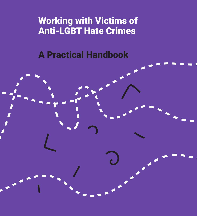# Working with Victims of Anti-LGBT Hate Crimes

A Practical Handbook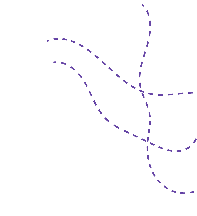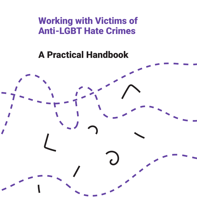# Working with Victims of Anti-LGBT Hate Crimes

# A Practical Handbook

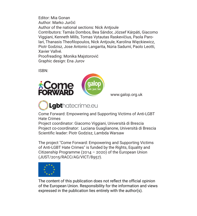Editor: Mia Gonan Author: Marko Jurčić Author of the national sections: Nick Antjoule Contributors: Tamás Dombos, Bea Sándor, József Kárpáti, Giacomo Viggiani, Kenneth Mills, Tomas Vytautas Raskevičius, Paola Parolari, Thanasis Theofilopoulos, Nick Antjoule, Karolina Więckiewicz, Piotr Godzisz, Jose Antonio Langarita, Núria Sadurní, Paolo Leotti, Xavier Vallvé. Proofreading: Monika Majstorović Graphic design: Ena Jurov

ISBN:



www.galop.org.uk



Come Forward: Empowering and Supporting Victims of Anti-LGBT Hate Crimes

Project coordinator: Giacomo Viggiani, Università di Brescia Project co-coordinator: Luciana Guaglianone, Università di Brescia Scientific leader: Piotr Godzisz, Lambda Warsaw

The project "Come Forward: Empowering and Supporting Victims of Anti-LGBT Hate Crimes" is funded by the Rights, Equality and Citizenship Programme (2014 – 2020) of the European Union (JUST/2015/RACC/AG/VICT/8957).



The content of this publication does not reflect the official opinion of the European Union. Responsibility for the information and views expressed in the publication lies entirely with the author(s).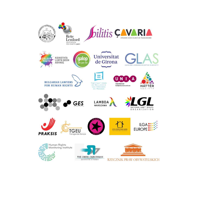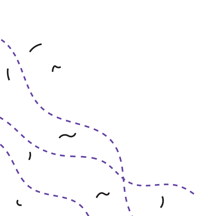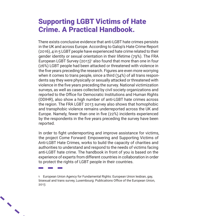### Supporting LGBT Victims of Hate Crime. A Practical Handbook.

There exists conclusive evidence that anti-LGBT hate crimes persists in the UK and across Europe. According to Galop's Hate Crime Report (2016), 4 in 5 LGBT people have experienced hate crime related to their gender identity or sexual orientation in their lifetime (79%). The FRA European LGBT Survey (2013)<sup>1</sup> also found that more than one in four (26%) LGBT people had been attacked or threatened with violence in the five years preceding the research. Figures are even more worrying when it comes to trans people, since a third (34%) of all trans respondents say they were physically or sexually attacked or threatened with violence in the five years preceding the survey. National victimization surveys, as well as cases collected by civil society organizations and reported to the Office for Democratic Institutions and Human Rights (ODIHR), also show a high number of anti-LGBT hate crimes across the region. The FRA LGBT 2013 survey also shows that homophobic and transphobic violence remains underreported across the UK and Europe. Namely, fewer than one in five (22%) incidents experienced by the respondents in the five years preceding the survey have been reported.

In order to fight underreporting and improve assistance for victims, the project Come Forward: Empowering and Supporting Victims of Anti-LGBT Hate Crimes, works to build the capacity of charities and authorities to understand and respond to the needs of victims facing anti-LGBT hate crime. The handbook in front of you is based on the experience of experts from different countries in collaboration in order to protect the rights of LGBT people in their countries.

1 European Union Agency for Fundamental Rights: European Union lesbian, gay, bisexual and trans survey, Luxembourg: Publications Office of the European Union, 2013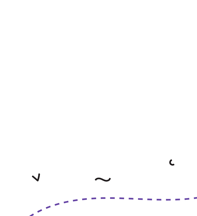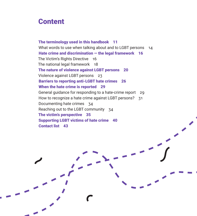### Content

The terminology used in this handbook 11 What words to use when talking about and to LGBT persons 14 Hate crime and discrimination  $-$  the legal framework 16 The Victim's Rights Directive 16 The national legal framework 18 The nature of violence against LGBT persons 20 Violence against LGBT persons 23 Barriers to reporting anti-LGBT hate crimes 26 When the hate crime is reported 29 General guidance for responding to a hate-crime report 29 How to recognize a hate crime against LGBT persons? 31 Documenting hate crimes 34 Reaching out to the LGBT community 34 The victim's perspective 35 Supporting LGBT victims of hate crime 40 Contact list 43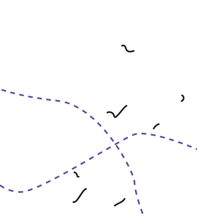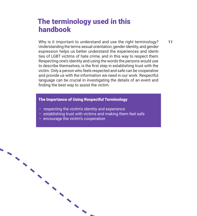### The terminology used in this handbook

11 Why is it important to understand and use the right terminology? Understanding the terms sexual orientation, gender identity, and gender expression helps us better understand the experiences and identities of LGBT victims of hate crime, and in this way to respect them. Respecting one's identity and using the words the persons would use to describe themselves, is the first step in establishing trust with the victim. Only a person who feels respected and safe can be cooperative and provide us with the information we need in our work. Respectful language can be crucial in investigating the details of an event and finding the best way to assist the victim.

### The Importance of Using Respectful Terminology

- respecting the victim's identity and experience
- establishing trust with victims and making them feel safe
- encourage the victim's cooperation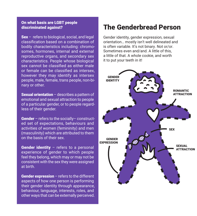### On what basis are LGBT people discriminated against?

Sex - refers to biological, social, and legal classification based on a combination of bodily characteristics including: chromosomes, hormones, internal and external reproductive organs, and secondary sex characteristics. People whose biological sex cannot be classified as either male or female can be classified as intersex, however they may identify as intersex people, male, female, trans people, non-binary or other.

**Sexual orientation**  $-$  describes a pattern of emotional and sexual attraction to people of a particular gender, or to people regardless of their gender.

Gender – refers to the socially– constructed set of expectations, behaviours and activities of women (femininity) and men (masculinity) which are attributed to them on the basis of their sex.

Gender identity  $-$  refers to a personal experience of gender to which people feel they belong, which may or may not be consistent with the sex they were assigned at birth.

Gender expression  $-$  refers to the different aspects of how one person is performing their gender identity through appearance, behaviour, language, interests, roles, and other ways that can be externally perceived.

### The Genderbread Person

Gender identity, gender expression, sexual orientation… mostly isn't well delineated and is often variable. It's not binary. Not or/or. Sometimes even and/and. A little of this, a little of that. A whole cookie, and worth it to put your teeth in it!

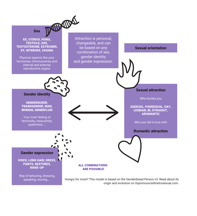

origin and evolution on itspronouncedmetrosexual.com.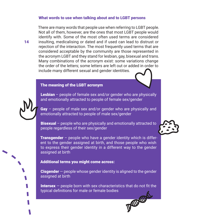#### What words to use when talking about and to LGBT persons

There are many words that people use when referring to LGBT people. Not all of them, however, are the ones that most LGBT people would identify with. Some of the most often used terms are considered insulting, medicalising or dated and if used can lead to distrust or rejection of the interaction. The most frequently used terms that are considered acceptable by the community are those represented in the acronym LGBT and they stand for lesbian, gay, bisexual and trans. Many combinations of the acronym exist: some variations change the order of the letters; some letters are left out or added in order to include many different sexual and gender identities.

### The meaning of the LGBT acronym

14

۱

П

**Lesbian** – people of female sex and/or gender who are physically and emotionally attracted to people of female sex/gender

Gay  $-$  people of male sex and/or gender who are physically and emotionally attracted to people of male sex/gender

Bisexual - people who are physically and emotionally attracted to people regardless of their sex/gender



**Transgender** – people who have a gender identity which is different to the gender assigned at birth, and those people who wish to express their gender identity in a different way to the gender assigned at birth

### Additional terms you might come across:

**Cisgender**  $-$  people whose gender identity is aligned to the gender assigned at birth

**Intersex**  $-$  people born with sex characteristics that do not fit the typical definitions for male or female bodies**POD OF A**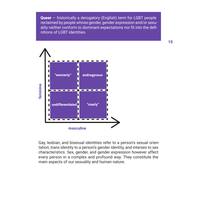Queer – historically a derogatory (English) term for LGBT people reclaimed by people whose gender, gender expression and/or sexuality neither conform to dominant expectations nor fit into the definitions of LGBT identities.



Gay, lesbian, and bisexual identities refer to a person's sexual orientation, trans identity to a person's gender identity, and intersex to sex characteristics. Sex, gender, and gender expression however affect every person in a complex and profound way. They constitute the main aspects of our sexuality and human nature.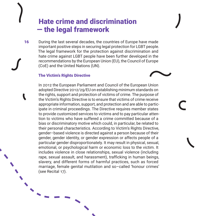### Hate crime and discrimination — the legal framework

16 During the last several decades, the countries of Europe have made important positive steps in securing legal protection for LGBT people. The legal framework for the protection against discrimination and hate crime against LGBT people have been further developed in the recommendations by the European Union (EU), the Council of Europe (CoE) and the United Nations (UN).

#### The Victim's Rights Directive

In 2012 the European Parliament and Council of the European Union adopted Directive 2012/29/EU on establishing minimum standards on the rights, support and protection of victims of crime. The purpose of the Victim's Rights Directive is to ensure that victims of crime receive appropriate information, support, and protection and are able to participate in criminal proceedings. The Directive requires member states to provide customized services to victims and to pay particular attention to victims who have suffered a crime committed because of a bias or discriminatory motive which could, in particular, be related to their personal characteristics. According to Victim's Rights Directive, gender–based violence is directed against a person because of their gender, gender identity, or gender expression or affects people of a particular gender disproportionately. It may result in physical, sexual, emotional, or psychological harm or economic loss to the victim. It includes violence in close relationships, sexual violence (including rape, sexual assault, and harassment), trafficking in human beings, slavery, and different forms of harmful practices, such as forced marriage, female genital mutilation and so–called 'honour crimes' (see Recital 17).

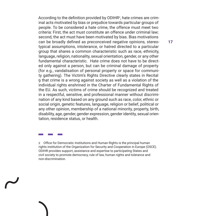According to the definition provided by ODIHR<sup>2</sup>, hate crimes are criminal acts motivated by bias or prejudice towards particular groups of people. To be considered a hate crime, the offence must meet two criteria: First, the act must constitute an offence under criminal law; second, the act must have been motivated by bias. Bias motivations can be broadly defined as preconceived negative opinions, stereotypical assumptions, intolerance, or hatred directed to a particular group that shares a common characteristic such as race, ethnicity, language, religion, nationality, sexual orientation, gender, or any other fundamental characteristic. Hate crime does not have to be directed only against a person, but can be criminal damage of property (for e.g., vandalisation of personal property or space for community gathering). The Victim's Rights Directive clearly states in Recital 9 that crime is a wrong against society as well as a violation of the individual rights enshrined in the Charter of Fundamental Rights of the EU. As such, victims of crime should be recognized and treated in a respectful, sensitive, and professional manner without discrimination of any kind based on any ground such as race, color, ethnic or social origin, genetic features, language, religion or belief, political or any other opinion, membership of a national minority, property, birth, disability, age, gender, gender expression, gender identity, sexual orientation, residence status, or health.

17

2 Office for Democratic Institutions and Human Rights is the principal human rights institution of the Organization for Security and Cooperation in Europe (OSCE). ODIHR provides support, assistance and expertise to participating States and civil society to promote democracy, rule of law, human rights and tolerance and non-discrimination.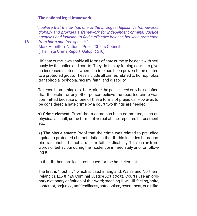#### The national legal framework

*"I believe that the UK has one of the strongest legislative frameworks globally and provides a framework for independent criminal Justice agencies and judiciary to find a effective balance between protection from harm and free speech."* 

Mark Hamilton, National Police Chiefs Council (The Hate Crime Report, Galop, 2016)

UK hate crime laws enable all forms of hate crime to be dealt with seriously by the police and courts. They do this by forcing courts to give an increased sentence where a crime has been proven to be related to a protected group. These include all crimes related to homophobia, transphobia, biphobia, racism, faith, and disability.

To record something as a hate crime the police need only be satisfied that the victim or any other person believe the reported crime was committed because of one of these forms of prejudice. However, to be considered a hate crime by a court two things are needed:

**1) Crime element**: Proof that a crime has been committed, such as physical assault, some forms of verbal abuse, repeated harassment etc.

**2) The bias element:** Proof that the crime was related to prejudice against a protected characteristic. In the UK this includes homophobia, transphobia, biphobia, racism, faith or disability. This can be from words or behaviour during the incident or immediately prior or following it.

In the UK there are legal tests used for the hate element:

The first is "hostility", which is used in England, Wales and Northern Ireland (s.146 & 146 Criminal Justice Act 2003). Courts use an ordinary dictionary definition of this word; meaning ill-will, ill-feeling, spite, contempt, prejudice, unfriendliness, antagonism, resentment, or dislike.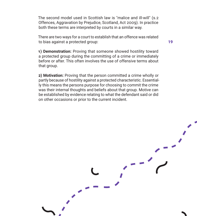The second model used in Scottish law is "malice and ill-will" (s.2 Offences, Aggravation by Prejudice, Scotland, Act 2009). In practice both these terms are interpreted by courts in a similar way.

There are two ways for a court to establish that an offence was related to bias against a protected group:

**1) Demonstration:** Proving that someone showed hostility toward a protected group during the committing of a crime or immediately before or after. This often involves the use of offensive terms about that group.

**2) Motivation:** Proving that the person committed a crime wholly or partly because of hostility against a protected characteristic. Essentially this means the persons purpose for choosing to commit the crime was their internal thoughts and beliefs about that group. Motive can be established by evidence relating to what the defendant said or did on other occasions or prior to the current incident.

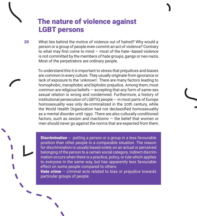### The nature of violence against LGBT persons

20 What lies behind the motive of violence out of hatred? Why would a person or a group of people even commit an act of violence? Contrary to what may first come to mind — most of the hate–based violence is not committed by the members of hate groups, gangs or neo-nazis. Most of the perpetrators are ordinary people.

> To understand this it is important to stress that prejudices and biases are common in every culture. They usually originate from ignorance or lack of exposure to the 'unknown'. There are many factors leading to homophobic, transphobic and biphobic prejudice. Among them, most common are religious beliefs  $-$  accepting that any form of same-sex sexual relation is wrong and condemned. Furthermore, a history of institutional persecution of LGBTIQ people — in most parts of Europe homosexuality was only de-criminalized in the 20th century, while the World Health Organization had not declassified homosexuality as a mental disorder until 1990. There are also culturally conditioned factors, such as sexism and *machismo* — the belief that women or men should never go against the norms that are expected from them.

**Discrimination** – putting a person or a group in a less favourable position than other people in a comparable situation. The reason for discrimination is usually based solely on an actual or perceived belonging of the person to a certain social category. Indirect discrimination occurs when there is a practice, policy, or rule which applies to everyone in the same way, but has apparently less favourable effect on some people compared to others.

**Hate crime**  $-$  criminal acts related to bias or prejudice towards particular groups of people.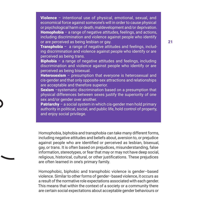Violence – intentional use of physical, emotional, sexual, and economical force against someone's will in order to cause physical or psychological harm or death, maldevelopment and/or deprivation. Homophobia – a range of negative attitudes, feelings, and actions, including discrimination and violence against people who identify or are perceived as being lesbian or gay.

**Transphobia** – a range of negative attitudes and feelings, including discrimination and violence against people who identify or are perceived as being trans.

**Biphobia** – a range of negative attitudes and feelings, including discrimination and violence against people who identify or are perceived as being bisexual.

Heterosexism - presumption that everyone is heterosexual and cis-gender and that only opposite-sex attractions and relationships are acceptable and therefore superior.

Sexism -systematic discrimination based on a presumption that physical differences between sexes justify the superiority of one sex and/or gender over another.

**Patriarchy** – a social system in which cis-gender men hold primary authority in political, social, and public life, hold control of property, and enjoy social privilege.

Homophobia, biphobia and transphobia can take many different forms, including negative attitudes and beliefs about, aversion to, or prejudice against people who are identified or perceived as lesbian, bisexual, gay, or trans. It is often based on prejudices, misunderstanding, false information, stereotypes, or fear that may or may not have deep social, religious, historical, cultural, or other justifications. These prejudices are often learned in one's primary family.

Homophobic, biphobic and transphobic violence is gender–based violence. Similar to other forms of gender–based violence, it occurs as a result of the normative role expectations associated with each gender. This means that within the context of a society or a community there are certain social expectations about acceptable gender behaviours or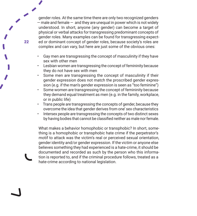gender roles. At the same time there are only two recognized genders  $-$  male and female  $-$  and they are unequal in power which is not widely understood. In short, anyone (any gender) can become a target of physical or verbal attacks for transgressing predominant concepts of gender roles. Many examples can be found for transgressing expected or dominant concept of gender roles, because society's roles are complex and can vary, but here are just some of the obvious ones:

22

- Gay men are transgressing the concept of masculinity if they have sex with other men
- Lesbian women are transgressing the concept of femininity because they do not have sex with men
- Some men are transgressing the concept of masculinity if their gender expression does not match the proscribed gender expression (e.g. if the man's gender expression is seen as "too feminine")
- Some women are transgressing the concept of femininity because they demand equal treatment as men (e.g. in the family, workplace, or in public life)
- Trans people are transgressing the concepts of gender, because they overcome the idea that gender derives from one' sex characteristics
- Intersex people are transgressing the concepts of two distinct sexes by having bodies that cannot be classified neither as male nor female.

What makes a behavior homophobic or transphobic? In short, something is a homophobic or transphobic hate crime if the perpetrator's motif to attack was the victim's real or perceived sexual orientation, gender identity and/or gender expression. If the victim or anyone else believes something they had experienced is a hate-crime, it should be documented and recorded as such by the person who this information is reported to, and if the criminal procedure follows, treated as a hate-crime according to national legislation.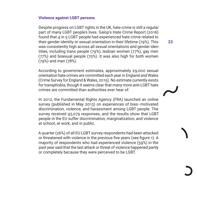#### Violence against LGBT persons

Despite progress on LGBT rights in the UK, hate crime is still a regular part of many LGBT people's lives. Galop's Hate Crime Report (2016) found that  $4$  in  $5$  LGBT people had experienced hate crime related to their gender identity or sexual orientation in their lifetime (79%). This was consistently high across all sexual orientations and gender identities, including trans people (79%), lesbian women (77%), gay men (77%) and bisexual people (75%). It was also high for both women (79%) and men (78%).

According to government estimates, approximately 29,000 sexual orientation hate crimes are committed each year in England and Wales (Crime Survey for England & Wales, 2015). No estimate currently exists for transphobia, though it seems clear that many more anti-LGBT hate crimes are committed than authorities ever hear of.

In 2012, the Fundamental Rights Agency (FRA) launched an online survey (published in May 2013) on experiences of bias–motivated discrimination, violence, and harassment among LGBT people. The survey received 93,079 responses, and the results show that LGBT people in the EU suffer discrimination, marginalization, and violence at school, at work, and in public.

A quarter (26%) of all EU LGBT survey respondents had been attacked or threatened with violence in the previous five years (see figure 1). A majority of respondents who had experienced violence (59%) in the past year said that the last attack or threat of violence happened partly or completely because they were perceived to be LGBT.

23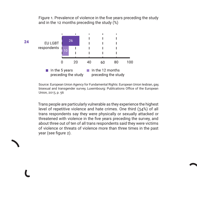Figure 1. Prevalence of violence in the five years preceding the study and in the 12 months preceding the study (%)



Source: European Union Agency for Fundamental Rights: European Union lesbian, gay, bisexual and transgender survey, Luxembourg: Publications Office of the European Union, 2013, p. 56

Trans people are particularly vulnerable as they experience the highest level of repetitive violence and hate crimes. One third (34%) of all trans respondents say they were physically or sexually attacked or threatened with violence in the five years preceding the survey, and about three out of ten of all trans respondents said they were victims of violence or threats of violence more than three times in the past year (see figure 2).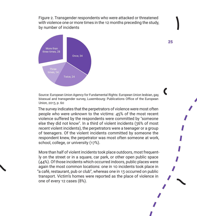Figure 2. Transgender respondents who were attacked or threatened with violence one or more times in the 12 months preceding the study, by number of incidents



Source: European Union Agency for Fundamental Rights: European Union lesbian, gay, bisexual and transgender survey, Luxembourg: Publications Office of the European Union, 2013, p. 60

The survey indicates that the perpetrators of violence were most often people who were unknown to the victims: 45% of the most recent violence suffered by the respondents were committed by "someone else they did not know". In a third of violent incidents (36% of most recent violent incidents), the perpetrators were a teenager or a group of teenagers. Of the violent incidents committed by someone the respondent knew, the perpetrator was most often someone at work, school, college, or university (17%).

More than half of violent incidents took place outdoors, most frequently on the street or in a square, car park, or other open public space (44%). Of those incidents which occurred indoors, public places were again the most common locations: one in 10 incidents took place in "a café, restaurant, pub or club", whereas one in 13 occurred on public transport. Victim's homes were reported as the place of violence in one of every 12 cases (8%).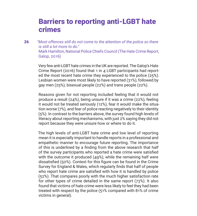### Barriers to reporting anti-LGBT hate crimes

26 *"Most offences still do not come to the attention of the police so there is still a lot more to do."*  Mark Hamilton, National Police Chiefs Council (The Hate Crime Report, Galop, 2016)

> Very few anti-LGBT hate crimes in the UK are reported. The Galop's Hate Crime Report (2016) found that 1 in 4 LGBT participants had reported the most recent hate crime they experienced to the police (25%). Lesbian women were most likely to have reported (31%), followed by gay men (25%), bisexual people (22%) and trans people (22%).

> Reasons given for not reporting included feeling that it would not produce a result (24%), being unsure if it was a crime (22%), feeling it would not be treated seriously (12%), fear it would make the situation worse (7%), and fear of police reacting negatively to their identity (5%). In contrast to the barriers above, the survey found high levels of literacy about reporting mechanisms, with just 2% saying they did not report because they were unsure how or where to do it.

> The high levels of anti-LGBT hate crime and low level of reporting mean it is especially important to handle reports in a professional and empathetic manner to encourage future reporting. The importance of this is underlined by a finding from the above research that half of the survey participants who reported a hate crime were satisfied with the outcome it produced (49%), while the remaining half were dissatisfied (50%). Context for this figure can be found in the Crime Survey for England & Wales, which regularly finds that half of people who report hate crime are satisfied with how it is handled by police (52%). That compares poorly with the much higher satisfaction rate for other types of crime detailed in the same report (73%). It also found that victims of hate crime were less likely to feel they had been treated with respect by the police (51% compared with 81% of crime victims in general).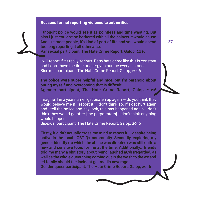#### Reasons for not reporting violence to authorities

I thought police would see it as pointless and time wasting. But also I just couldn't be bothered with all the palaver it would cause. And like most people, it's kind of part of life and you would spend too long reporting it all otherwise.

Pansexual participant, The Hate Crime Report, Galop, 2016

I will report if it's really serious. Petty hate crime like this is constant and I don't have the time or energy to pursue every instance. Bisexual participant, The Hate Crime Report, Galop, 2016

The police were super helpful and nice, but I'm paranoid about outing myself and overcoming that is difficult. Agender participant, The Hate Crime Report, Galop, 2016

Imagine if in a years time I get beaten up again  $-$  do you think they would believe me if I report it? I don't think so. If I get hurt again and I tell the police and say look, this has happened again, I don't think they would go after [the perpetrators]. I don't think anything would happen.

Bisexual participant, The Hate Crime Report, Galop, 2016

Firstly, it didn't actually cross my mind to report it  $-$  despite being active in the local LGBTIQ+ community. Secondly, exploring my gender identity (to which the abuse was directed) was still quite a new and sensitive topic for me at the time. Additionally… friends told me many a shit story about being laughed at/disregarded, as well as the whole queer thing coming out in the wash to the extended family should the incident get media coverage.

Gender queer participant, The Hate Crime Report, Galop, 2016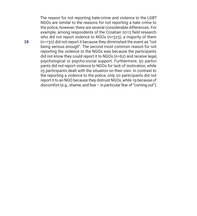The reason for not reporting hate-crime and violence to the LGBT NGOs are similar to the reasons for not reporting a hate crime to the police, however, there are several considerable differences. For example, among respondents of the Croatian 2013 field research who did not report violence to NGOs (n=323), a majority of them (n=130) did not report it because they diminished the event as "not being serious enough". The second most common reason for not reporting the violence to the NGOs was because the participants did not know they could report it to NGOs (n=62) and receive legal, psychological or psycho-social support. Furthermore, 50 participants did not report violence to NGOs for lack of motivation, while 25 participants dealt with the situation on their own. In contrast to the reporting a violence to the police, only 20 participants did not report it to an NGO because they distrust NGOs, while 19 because of discomfort (e.g., shame, and fear – in particular fear of "coming out").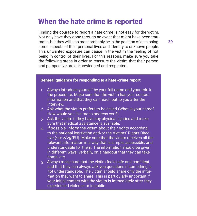### When the hate crime is reported

Finding the courage to report a hate crime is not easy for the victim. Not only have they gone through an event that might have been traumatic, but they will also most probably be in the position of disclosing some aspects of their personal lives and identity to unknown people. This unwanted exposure can cause in the victim the feeling of not being in control of their lives. For this reasons, make sure you take the following steps in order to reassure the victim that their person and perspective are acknowledged and respected.

### General guidance for responding to a hate-crime report

- 1. Always introduce yourself by your full name and your role in the procedure. Make sure that the victim has your contact information and that they can reach out to you after the interview.
- 2. Ask what the victim prefers to be called (What is your name? How would you like me to address you?)
- 3. Ask the victim if they have any physical injuries and make sure that medical assistance is available.
- 4. If possible, inform the victim about their rights according to the national legislation and/or the Victims' Rights Directive (2012/29/EU). Make sure that the victim receives all the relevant information in a way that is simple, accessible, and understandable for them. The information should be given in different ways: verbally, on a handout that they can take home, etc.
- 5. Always make sure that the victim feels safe and confident and that they can always ask you questions if something is not understandable. The victim should share only the information they want to share. This is particularly important if your initial contact with the victim is immediately after they experienced violence or in public.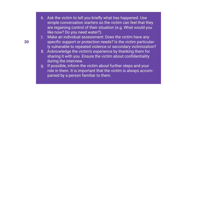|             | 6. Ask the victim to tell you briefly what has happened. Use<br>simple conversation starters so the victim can feel that they<br>are regaining control of their situation (e.g. What would you<br>like now? Do you need water?). |
|-------------|----------------------------------------------------------------------------------------------------------------------------------------------------------------------------------------------------------------------------------|
| 7.          | Make an individual assessment: Does the victim have any                                                                                                                                                                          |
|             | specific support or protection needs? Is the victim particular-                                                                                                                                                                  |
|             | ly vulnerable to repeated violence or secondary victimization?                                                                                                                                                                   |
|             | 8. Acknowledge the victim's experience by thanking them for<br>sharing it with you. Ensure the victim about confidentiality                                                                                                      |
|             | during the interview.                                                                                                                                                                                                            |
| $Q_{\star}$ | If possible, inform the victim about further steps and your                                                                                                                                                                      |
|             | role in them. It is important that the victim is always accom-                                                                                                                                                                   |
|             | panied by a person familiar to them.                                                                                                                                                                                             |

30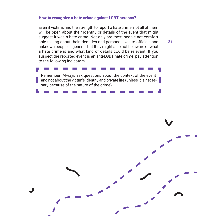#### How to recognize a hate crime against LGBT persons?

Even if victims find the strength to report a hate crime, not all of them will be open about their identity or details of the event that might suggest it was a hate crime. Not only are most people not comfortable talking about their identities and personal lives to officials and unknown people in general, but they might also not be aware of what a hate crime is and what kind of details could be relevant. If you suspect the reported event is an anti-LGBT hate crime, pay attention to the following indicators.

31

Remember! Always ask questions about the context of the event and not about the victim's identity and private life (unless it is necessary because of the nature of the crime).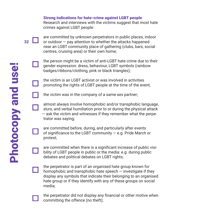|    |                             | <b>Strong indications for hate-crime against LGBT people</b><br>Research and interviews with the victims suggest that most hate<br>crimes against LGBT people:                                                                                                                   |
|----|-----------------------------|----------------------------------------------------------------------------------------------------------------------------------------------------------------------------------------------------------------------------------------------------------------------------------|
| 32 | ❏                           | are committed by unknown perpetrators in public places, indoor<br>or outdoor $-$ pay attention to whether the attacks happened<br>near an LGBT community place of gathering (clubs, bars, social<br>centres, cruising area) or their own home;                                   |
|    | $\mathcal{L}_{\mathcal{A}}$ | the person might be a victim of anti-LGBT hate crime due to their<br>gender expression: dress, behaviour, LGBT symbols (rainbow<br>badges/ribbons/clothing, pink or black triangles);                                                                                            |
|    |                             | the victim is an LGBT activist or was involved in activities<br>promoting the rights of LGBT people at the time of the event;                                                                                                                                                    |
|    |                             | the victim was in the company of a same sex partner;                                                                                                                                                                                                                             |
|    | ٦                           | almost always involve homophobic and/or transphobic language,<br>slurs, and verbal humiliation prior to or during the physical attack<br>- ask the victim and witnesses if they remember what the perpe-<br>trator was saying;                                                   |
|    |                             | are committed before, during, and particularly after events<br>of significance to the LGBT community $-$ e.g. Pride March or<br>protest;                                                                                                                                         |
|    |                             | are committed when there is a significant increase of public visi-<br>bility of LGBT people in public or the media: e.g. during public<br>debates and political debates on LGBT rights;                                                                                          |
|    |                             | the perpetrator is part of an organised hate group known for<br>homophobic and transphobic hate speech - investigate if they<br>display any symbols that indicate their belonging to an organised<br>hate group or if they identify with any of these groups on social<br>media; |

Ш

the perpetrator did not display any financial or other motive when committing the offence (no theft);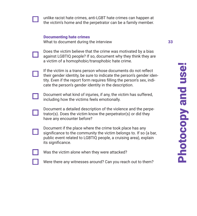|  | unlike racist hate crimes, anti-LGBT hate crimes can happen at<br>the victim's home and the perpetrator can be a family member.                                                                                                                                           |    |
|--|---------------------------------------------------------------------------------------------------------------------------------------------------------------------------------------------------------------------------------------------------------------------------|----|
|  | <b>Documenting hate crimes</b><br>What to document during the interview                                                                                                                                                                                                   | 33 |
|  | Does the victim believe that the crime was motivated by a bias<br>against LGBTIQ people? If so, document why they think they are<br>a victim of a homophobic/transphobic hate crime.                                                                                      |    |
|  | If the victim is a trans person whose documents do not reflect<br>their gender identity, be sure to indicate the person's gender iden-<br>tity. Even if the report form requires filling the person's sex, indi-<br>cate the person's gender identity in the description. |    |
|  | Document what kind of injuries, if any, the victim has suffered,<br>including how the victims feels emotionally.                                                                                                                                                          |    |
|  | Document a detailed description of the violence and the perpe-<br>trator(s). Does the victim know the perpetrator(s) or did they<br>have any encounter before?                                                                                                            |    |
|  | Document if the place where the crime took place has any<br>significance to the community the victim belongs to. If so (a bar,<br>public event related to LGBTIQ people, a cruising area), explain<br>its significance.                                                   |    |
|  | Was the victim alone when they were attacked?                                                                                                                                                                                                                             |    |
|  | Were there any witnesses around? Can you reach out to them?                                                                                                                                                                                                               |    |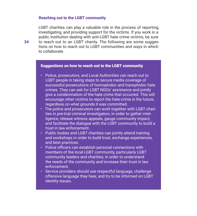#### Reaching out to the LGBT community

LGBT charities can play a valuable role in the process of reporting, investigating, and providing support for the victims. If you work in a public institution dealing with anti-LGBT hate crime victims, be sure to reach out to an LGBT charity. The following are some suggestions on how to reach out to LGBT communities and ways in which to collaborate.

#### Suggestions on how to reach out to the LGBT community

- Police, prosecutors, and Local Authorities can reach out to LGBT people in taking steps to secure media coverage of successful prosecutions of homophobic and transphobic hate crimes. They can ask for LGBT NGOs' assistance and jointly give a condemnation of the hate crime that occurred. This will encourage other victims to report the hate-crime in the future, regardless on what grounds it was committed.
- The police and prosecutors can work together with LGBT charities in pre-trial criminal investigation, in order to gather intelligence, release witness appeals, gauge community impact, and facilitate the dialogue with the LGBT community to build a trust in law enforcement.
- Public bodies and LGBT charities can jointly attend training and workshops in order to build trust, exchange experiences, and best practices.
- Police officers can establish personal connections with members of the local LGBT community, particularly LGBT community leaders and charities, in order to understand the needs of the community and increase their trust in law enforcement.
- Service providers should use respectful language, challenge offensive language they hear, and try to be informed on LGBT identity issues.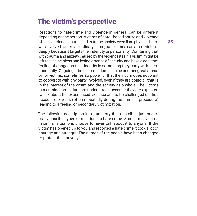### The victim's perspective

Reactions to hate-crime and violence in general can be different depending on the person. Victims of hate–based abuse and violence often experience trauma and extreme anxiety even if no physical harm was involved. Unlike an ordinary crime, hate crimes can affect victim's deeply because it targets their identity or personality. Combining that with trauma and anxiety caused by the violence itself, a victim might be left feeling helpless and losing a sense of security and have a constant feeling of danger as their identity is something they carry with them constantly. Ongoing criminal procedures can be another great stressor for victims, sometimes so powerful that the victim does not want to cooperate with any party involved, even if they are doing all that is in the interest of the victim and the society as a whole. The victims in a criminal procedure are under stress because they are expected to talk about the experienced violence and to be challenged on their account of events (often repeatedly during the criminal procedure), leading to a feeling of secondary victimization.

The following description is a true story that describes just one of many possible types of reactions to hate crime. Sometimes victims in similar situations choose to never talk about it to anyone. If the victim has opened up to you and reported a hate crime it took a lot of courage and strength. The names of the people have been changed to protect their privacy.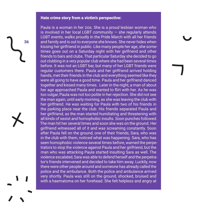### Hate crime story from a victim's perspective:

Paula is a woman in her 20s. She is a proud lesbian woman who is involved in her local LGBT community  $-$  she regularly attends LGBT events, walks proudly in the Pride March with all her friends and family and is out to everyone she knows. She never hides when kissing her girlfriend in public. Like many people her age, she sometimes goes out on a Saturday night with her girlfriend and other friends to bars and clubs. That particular Saturday she decided to go out clubbing in a very popular club where she had been several times before. It was not an LGBT bar, but many of her LGBT friends were regular customers there. Paula and her girlfriend arrived holding hands, met their friends in the club and everything seemed like they were all going to have a good time. Paula and her girlfriend danced together and kissed many times. Later in the night, a man of about her age approached Paula and wanted to flirt with her. As he was too vulgar, Paula was not too polite in her rejection. She did not see the man again, until early morning, as she was leaving the club with her girlfriend. He was waiting for Paula with two of his friends in the parking place near the club. His friends separated Paula and her girlfriend, as the man started humiliating and threatening with all kinds of sexist and homophobic insults. Soon punches followed. The man hit her several times and soon she was on the ground. Her girlfriend witnessed all of it and was screaming constantly. Soon after Paula fell on the ground, one of their friends, Sara, who was in the club with them, noticed what was happening. Sara, who has seen homophobic violence several times before, warned the perpetrators to stop the violence against Paula and her girlfriend, but the man who was attacking Paula started insulting Sara as well. The violence escalated, Sara was able to defend herself and the perpetrator's friends intervened and decided to take him away. Luckily, now there were other people around and someone has already called the police and the ambulance. Both the police and ambulance arrived very shortly. Paula was still on the ground, shocked, bruised and with a haematoma on her forehead. She felt helpless and angry at

36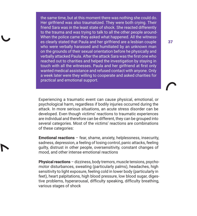the same time, but at this moment there was nothing she could do. Her girlfriend was also traumatized. They were both crying. Their friend Sara was in the least state of shock. She reacted differently to the trauma and was trying to talk to all the other people around-When the police came they asked what happened. All the witnesses clearly stated that Paula and her girlfriend are a lesbian couple who were verbally harassed and humiliated by an unknown man on the grounds of their sexual orientation before he physically and verbally attacked Paula. After the attack Sara was the first one who reached out to charities and helped the investigation by staying in touch with all the witnesses. Paula and her girlfriend at first only wanted medical assistance and refused contact with anyone. Only a week later were they willing to cooperate and asked charities for practical and emotional support.

Experiencing a traumatic event can cause physical, emotional, or psychological harm, regardless if bodily injuries occurred during the attack. In more serious situations, an acute stress disorder can be developed. Even though victims' reactions to traumatic experiences are individual and therefore can be different, they can be grouped into several categories. Most of the victims' reactions are combinations of these categories:

**Emotional reactions** – fear, shame, anxiety, helplessness, insecurity, sadness, depression, a feeling of losing control, panic attacks, feeling guilty, distrust in other people, oversensitivity, constant changes of mood, and other intense emotional reactions

**Physical reactions** – dizziness, body tremors, muscle tensions, psychomotor disturbances, sweating (particularly palms), headaches, high sensitivity to light exposure, feeling cold in lower body (particularly in feet), heart palpitations, high blood pressure, low blood sugar, digestive problems, hyperarousal, difficulty speaking, difficulty breathing, various stages of shock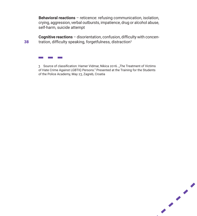**Behavioral reactions** – reticence: refusing communication, isolation, crying, aggression, verbal outbursts, impatience, drug or alcohol abuse, self-harm, suicide attempt

38 **Cognitive reactions** – disorientation, confusion, difficulty with concentration, difficulty speaking, forgetfulness, distraction3

**Contract Contract** 

3 Source of classification: Hamer Vidmar, Nikica 2016. "The Treatment of Victims of Hate Crime Against LGBTIQ Persons." Presented at the Training for the Students of the Police Academy, May 23, Zagreb, Croatia

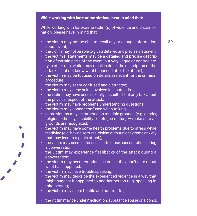### While working with hate crime victims, bear in mind that:

While working with hate-crime victim(s) of violence and discrimination, please have in mind that:

- the victim may not be able to recall any or enough information about event;
- the victim may not be able to give a detailed and precise statement;
- the victim's statements may be a detailed and precise description of certain parts of the event, but very vague or contradictory in other (e.g. victim may recall in detail the description of the attacker, but not know what happened after the attack);
- the victim may be focused on details irrelevant for the criminal procedure;
- the victim may seem confused and distracted;
- the victim may deny being involved in a hate crime;
- the victim may have been sexually assaulted, but only talk about the physical aspect of the attack;
- the victim may have problems understanding questions;
- the victim may appear confused when talking;
- some victims may be targeted on multiple grounds (e.g. gender, religion, ethnicity, disability or refugee status) — make sure all grounds are recognized;
- the victim may have some health problems due to stress while testifying (e.g. having seizures, violent outburst or extreme anxiety that may lead to a panic attack);
- the victim may seem unfocused and/or lose concentration during a conversation;
- the victim may experience flashbacks of the attack during a conversation;
- the victim may seem emotionless or like they don't care about what has happened;
- the victim may have trouble speaking;
- the victim may describe the experienced violence in a way that might suggest it happened to another person (e.g. speaking in third person);
- the victim may seem hostile and not trustful;
- the victim may be under medication, substance abuse or alcohol.

39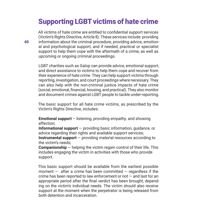### Supporting LGBT victims of hate crime

All victims of hate crime are entitled to confidential support services (Victim's Rights Directive, Article 8). These services include: providing information about the criminal procedure, providing advice, emotional and psychological support, and if needed, practical or specialist support to help them cope with the aftermath of a crime, as well as upcoming or ongoing criminal proceedings.

40

LGBT charities such as Galop can provide advice, emotional support, and direct assistance to victims to help them cope and recover from their experience of hate crime. They can help support victims through reporting, investigation, and court proceedings where necessary. They can also help with the non-criminal justice impacts of hate crime (social, emotional, financial, housing, and practical). They also monitor and document crimes against LGBT people to tackle under-reporting.

The basic support for all hate crime victims, as prescribed by the Victim's Rights Directive, includes:

**Emotional support** – listening, providing empathy. and showing affection;

**Informational support** — providing basic information, guidance, or advice regarding their rights and available support services; **Instrumental support** — providing material resources according to the victim's needs;

**Companionship** — helping the victim regain control of their life. This includes engaging the victim in activities with those who provide support.

This basic support should be available from the earliest possible moment  $-$  after a crime has been committed  $-$  regardless if the crime has been reported to law enforcement or not  $-$  and last for an appropriate period after the final verdict has been brought, depending on the victim's individual needs. The victim should also receive support at the moment when the perpetrator is being released from both detention and incarceration.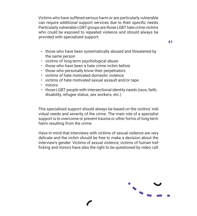Victims who have suffered serious harm or are particularly vulnerable can require additional support services due to their specific needs. Particularly vulnerable LGBT groups are those LGBT hate crime victims who could be exposed to repeated violence and should always be provided with specialized support:

- those who have been systematically abused and threatened by the same person
- victims of long-term psychological abuse
- those who have been a hate crime victim before
- those who personally know their perpetrators
- victims of hate motivated domestic violence
- victims of hate motivated sexual assault and/or rape
- minors
- those LGBT people with intersectional identity needs (race, faith, disability, refugee status, sex workers, etc.)

This specialized support should always be based on the victims' individual needs and severity of the crime. The main role of a specialist support is to overcome or prevent trauma or other forms of long-term harm resulting from the crime.

Have in mind that interviews with victims of sexual violence are very delicate and the victim should be free to make a decision about the interview's gender. Victims of sexual violence, victims of human trafficking and minors have also the right to be questioned by video call.

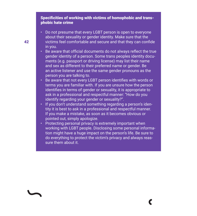### Specificities of working with victims of homophobic and transphobic hate crime

- Do not presume that every LGBT person is open to everyone about their sexuality or gender identity. Make sure that the victims feel comfortable and secure and that they can confide in you.
- Be aware that official documents do not always reflect the true gender identity of a person. Some trans peoples identity documents (e.g. passport or driving license) may list their name and sex as different to their preferred name or gender. Be an active listener and use the same gender pronouns as the person you are talking to.
- Be aware that not every LGBT person identifies with words or terms you are familiar with. If you are unsure how the person identifies in terms of gender or sexuality, it is appropriate to ask in a professional and respectful manner: "How do you identify regarding your gender or sexuality?".
- If you don't understand something regarding a person's identity it is best to ask in a professional and respectful manner. If you make a mistake, as soon as it becomes obvious or pointed out, simply apologize.
- Protecting personal privacy is extremely important when working with LGBT people. Disclosing some personal information might have a huge impact on the person's life. Be sure to do everything to protect the victim's privacy and always reassure them about it.

42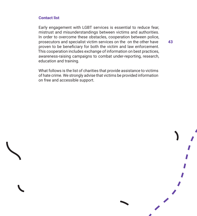### Contact list

Early engagement with LGBT services is essential to reduce fear, mistrust and misunderstandings between victims and authorities. In order to overcome these obstacles, cooperation between police, prosecutors and specialist victim services on the on the other have proven to be beneficiary for both the victim and law enforcement. This cooperation includes exchange of information on best practices, awareness-raising campaigns to combat under-reporting, research, education and training.

What follows is the list of charities that provide assistance to victims of hate crime. We strongly advise that victims be provided information on free and accessible support.

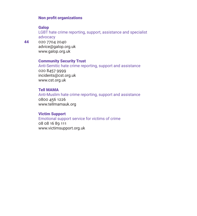### Non profit organizations

### Galop

LGBT hate crime reporting, support, assistance and specialist advocacy

44 020 7704 2040 advice@galop.org.uk www.galop.org.uk

### Community Security Trust

Anti-Semitic hate crime reporting, support and assistance 020 8457 9999 incidents@cst.org.uk www.cst.org.uk

### Tell MAMA

Anti-Muslim hate crime reporting, support and assistance

0800 456 1226 www.tellmamauk.org

### Victim Support

Emotional support service for victims of crime 08 08 16 89 111 www.victimsupport.org.uk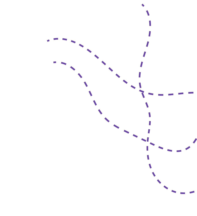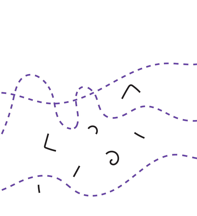